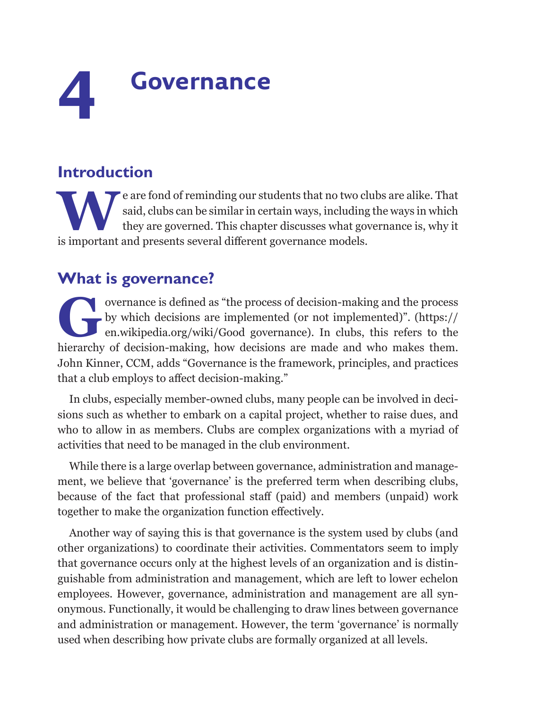# **4 Governance**

## **Introduction**

Example are fond of reminding our students that no two clubs are alike. That<br>said, clubs can be similar in certain ways, including the ways in which<br>they are governed. This chapter discusses what governance is, why it<br>is i said, clubs can be similar in certain ways, including the ways in which they are governed. This chapter discusses what governance is, why it is important and presents several different governance models.

## **What is governance?**

overnance is defined as "the process of decision-making and the process<br>by which decisions are implemented (or not implemented)". (https://<br>en.wikipedia.org/wiki/Good governance). In clubs, this refers to the<br>hierarchy of by which decisions are implemented (or not implemented)". ([https://](https://en.wikipedia.org/wiki/%20Good%20governance) [en.wikipedia.org/wiki/Good governance](https://en.wikipedia.org/wiki/%20Good%20governance)). In clubs, this refers to the hierarchy of decision-making, how decisions are made and who makes them. John Kinner, CCM, adds "Governance is the framework, principles, and practices that a club employs to affect decision-making."

In clubs, especially member-owned clubs, many people can be involved in decisions such as whether to embark on a capital project, whether to raise dues, and who to allow in as members. Clubs are complex organizations with a myriad of activities that need to be managed in the club environment.

While there is a large overlap between governance, administration and management, we believe that 'governance' is the preferred term when describing clubs, because of the fact that professional staff (paid) and members (unpaid) work together to make the organization function effectively.

Another way of saying this is that governance is the system used by clubs (and other organizations) to coordinate their activities. Commentators seem to imply that governance occurs only at the highest levels of an organization and is distinguishable from administration and management, which are left to lower echelon employees. However, governance, administration and management are all synonymous. Functionally, it would be challenging to draw lines between governance and administration or management. However, the term 'governance' is normally used when describing how private clubs are formally organized at all levels.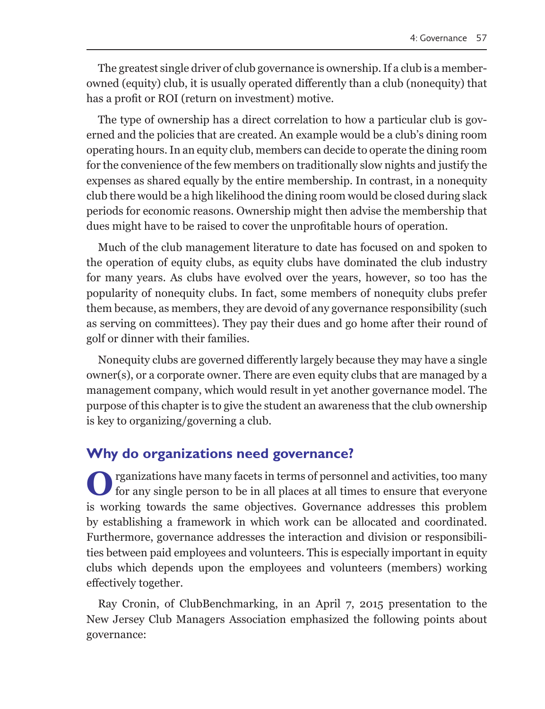The greatest single driver of club governance is ownership. If a club is a memberowned (equity) club, it is usually operated differently than a club (nonequity) that has a profit or ROI (return on investment) motive.

The type of ownership has a direct correlation to how a particular club is governed and the policies that are created. An example would be a club's dining room operating hours. In an equity club, members can decide to operate the dining room for the convenience of the few members on traditionally slow nights and justify the expenses as shared equally by the entire membership. In contrast, in a nonequity club there would be a high likelihood the dining room would be closed during slack periods for economic reasons. Ownership might then advise the membership that dues might have to be raised to cover the unprofitable hours of operation.

Much of the club management literature to date has focused on and spoken to the operation of equity clubs, as equity clubs have dominated the club industry for many years. As clubs have evolved over the years, however, so too has the popularity of nonequity clubs. In fact, some members of nonequity clubs prefer them because, as members, they are devoid of any governance responsibility (such as serving on committees). They pay their dues and go home after their round of golf or dinner with their families.

Nonequity clubs are governed differently largely because they may have a single owner(s), or a corporate owner. There are even equity clubs that are managed by a management company, which would result in yet another governance model. The purpose of this chapter is to give the student an awareness that the club ownership is key to organizing/governing a club.

#### **Why do organizations need governance?**

**O**rganizations have many facets in terms of personnel and activities, too many for any single person to be in all places at all times to ensure that everyone is working towards the same objectives. Governance addresses this problem by establishing a framework in which work can be allocated and coordinated. Furthermore, governance addresses the interaction and division or responsibilities between paid employees and volunteers. This is especially important in equity clubs which depends upon the employees and volunteers (members) working effectively together.

Ray Cronin, of ClubBenchmarking, in an April 7, 2015 presentation to the New Jersey Club Managers Association emphasized the following points about governance: